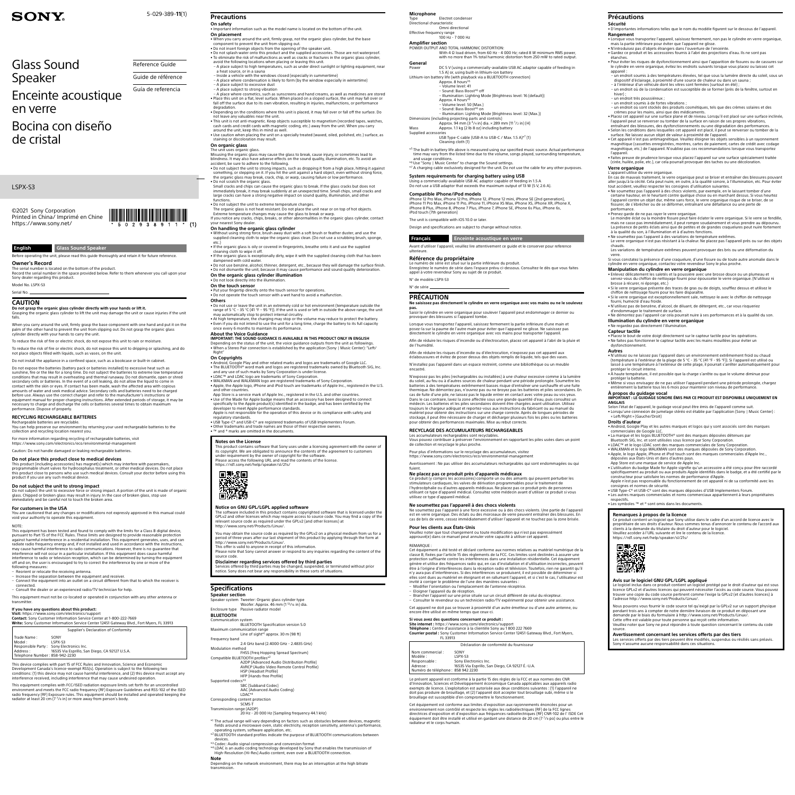# LSPX-S3

5-029-389-**11**(1)

©2021 Sony Corporation Printed in China/ Imprimé en Chine <https://www.sony.net/>

# **SONY**

# Glass Sound Speaker

# Enceinte acoustique en verre

Bocina con diseño de cristal

Reference Guide Guide de référence Guía de referencia

## **English Glass Sound Speaker**

Before operating the unit, please read this guide thoroughly and retain it for future reference

**Owner's Record**

The serial number is located on the bottom of the product.<br>Record the serial number in the space provided below. Refer to them whenever you call upon your<br>Sony dealer regarding this product.

Model No. LSPX-S3 Serial No.

# **CAUTION**

**Do not grasp the organic glass cylinder directly with your hands or lift it.**<br>Grasping the organic glass cylinder to lift the unit may damage the unit or cause injuries if the unit<br>falls.

When you carry around the unit, firmly grasp the base component with one hand and put it on the<br>palm of the other hand to prevent the unit from slipping out. Do not grasp the organic glass<br>cylinder directly with your hands

To reduce the risk of fire or electric shock, do not expose this unit to rain or moisture.

To reduce the risk of fire or electric shock, do not expose this unit to dripping or splashing, and do not place objects filled with liquids, such as vases, on the unit.

Do not install the appliance in a confined space, such as a bookcase or built-in cabinet.

Do not subject the unit to excessive force or strong impact. A portion of the unit is made of organic glass. Chipped or broken glass may result in injury. In the case of broken glass, stop use iediately and be careful not to touch the broken area.

Do not expose the batteries (battery pack or batteries installed) to excessive heat such as sunshine, fire or the like for a long time. Do not subject the batteries to extreme low temperature conditions that may result in overheating and thermal runaway. Do not dismantle, open or shred secondary cells or batteries. In the event of a cell leaking, do not allow the liquid to come in<br>contact with the skin or eyes. If contact has been made, wash the affected area with copious<br>amounts of water and seek medica necessary to charge and discharge the cells or batteries several times to obtain maximum performance. Dispose of properly.

following measures:<br>– Reorient or relocate the receiving antenna.<br>– Increase the separation between the equipment and receiver.<br>– Connected.<br>– connected. – Consult the dealer or an experienced radio/TV technician for help.

### **RECYCLING RECHARGEABLE BATTERIES**

Rechargeable batteries are recyclable. You can help preserve our environment by returning your used rechargeable batteries to the collection and recycling location nearest you.

For more information regarding recycling of rechargeable batteries, visit https://www.sony.com/electronics/eco/environmental-management https://www.sony.com/electronics/eco/environ

**If you have any questions about this product:<br><b>Visit:** <https://www.sony.com/electronics/support><br>**Contact:** Sony Customer Information Service Center at 1-800-222-7669 **Write:** Sony Customer Information Service Center 12451 Gateway Blvd., Fort Myers, FL 33913

iration of Confor

Caution: Do not handle damaged or leaking rechargeable batteries.

# **Do not place this product close to medical devices**

This product (including accessories) has magnet(s) which may interfere with pacemakers,<br>programmable shunt valves for hydrocephalus treatment, or other medical devices. Do not place<br>this product close to persons who use su

## **Do not subject the unit to strong impact**

# **For customers in the USA**

You are cautioned that any changes or modifications not expressly approved in this manual could void your authority to operate this equipment.

### NOTE:

This equipment has been tested and found to comply with the limits for a Class B digital device, pursuant to Part 15 of the FCC Rules. These limits are designed to provide reasonable protection<br>against harmful interference in a residential installation. This equipment generates, uses, and can<br>radiate radio frequency e interference will not occur in a particular installation. If this equipment does cause harmful interference to radio or television reception, which can be determined by turning the equipment off and on, the user is encouraged to try to correct the interference by one or more of the

accident, be sure to adhere to the following.<br>• Do not subject the unit to strong impacts, such as dropping it from a high place, hitting it against<br>- something, or stepping on it. If you hit the unit against a hard objec the organic glass may break, crack, chip, or warp, causing failure or low performance.

• Do not scratch the organic glass.<br>Small cracks and chips can cause the organic glass to break. If the glass cracks but does not<br>immediately break, it may break suddenly at an unexpected time. Small chips, small cracks an

This equipment must not be co-located or operated in conjunction with any other antenna or

transmitter.

• Do not dismantle the unit, because it may cause performance and sound quality deter **On the organic glass cylinder illumination** • Do not look directly into the illumination.

**On the touch sensor**<br>• Put your fingertip directly onto the touch sensor for operations.<br>• Do not operate the touch sensor with a wet hand to avoid a malfunction.

**About the Voice Guidance IMPORTANT: THE SOUND GUIDANCE IS AVAILABLE IN THIS PRODUCT ONLY IN ENGLISH** Depending on the status of the unit, the voice guidance outputs from the unit as followings. • When a Stereo Pair connection is established by the application (Sony | Music Center): "Left/ Right

This device complies with part 15 of FCC Rules and Innovation, Science and Economic Development Canada's licence-exempt RSS(s). Operation is subject to the following two conditions: (1) this device may not cause harmful interference, and (2) this device must accept any interference received, including interference that may cause undesired operation.

This equipment complies with FCC/ISED radiation exposure limits set forth for an uncontrolled environment and meets the FCC radio frequency (RF) Exposure Guidelines and RSS-102 of the ISED<br>radio frequency (RF) Exposure rules. This equipment should be installed and operated keeping the<br>radiator at least 20 cm (7 <sup>7</sup>

App Store is a service mark of Apple Inc., registered in the U.S. and other countries. • Use of the Made for Apple badge means that an accessory has been designed to connect<br>specifically to the Apple product(s) identified in the badge, and has been certified by the<br>developer to meet Apple performance standar

**Notes on the License** This product contains software that Sony uses under a licensing agreement with the owner of its copyright. We are obligated to announce the contents of the agreement to customers under requirement by the owner of copyright for the software.<br>Please access the following URL and read the contents of the license.<br><https://rd1.sony.net/help/speaker/sl/21s/>



# **Precautions**

**On safety** ation such as the model name is located on the bottom of the unit. **On placement**

• When you carry around the unit, firmly grasp, not the organic glass cylinder, but the base<br>• Component to prevent the unit from slipping out.<br>• Do not insert foreign objects from the opening of the speaker unit.<br>• To not

avoid the following locations when placing or leaving this unit.<br>- A place subject to high temperatures, such as under direct sunlight or lighting equipment, near<br>- a heat source, or in a sauna<br>- Inside a vehicle with the

You may obtain the source code as required by the GPLv2 on a physical medium from us for a period of three years after our last shipment of this product by applying through the form at<br>[http://www.sony.net/Products/Linux/.](http://www.sony.net/Products/Linux/)<br>This offer is valid to anyone in receipt of this information.

– A place subject to excessive dust

\*1 The actual range will vary depending on factors such as obstacles between devices, magnetic fields around a microwave oven, static electricity, reception sensitivity, antenna's performance, operating system, software application, etc.<br>\*<sup>2</sup> BLUETOOTH standard profiles indicate the purpose of BLUETOOTH communications between

devices.<br>\*3 Codec: Audio signal compression and conversion format<br>\*4 LDAC is an audio coding technology developed by Sony that enables the transmission of<br>high-Resolution (Hi-Res) Audio content, even over a BLUETOOTH conne

– A place subject to strong vibration – A place where cosmetics, such as sunscreens and hand creams, as well as medicines are stored • Place this unit on a flat, level surface. When placed on a sloped surface, the unit may fall over or fall off the surface due to its own vibration, resulting in injuries, malfunctions, or performance

degradation. • Depending on the conditions where this unit is placed, it may fall over or fall off the surface. Do not leave any valuables near the unit.

This unit is not anti-magnetic. Keep objects susceptible to magnetism (recorded tapes, watches,<br>cash cards and credit cards with magnetic coding, etc.) away from the unit. When you carry<br>around the unit, keep this in mind

Electret condense Directional characteristic Omni directional

> 1.5 A) or, using built-in lithium-ion battery<br>Lithium-ion battery life (with playback via a BLUETOOTH connection)<br>Approx. 8 hours\*5<br>- Volume level: 41 – Sound: Bass Boost\*6 off

staining or discoloration may result. **On organic glass**

### The unit uses organic glass.

\*5 The built-in battery life above is measured using our specified music source. Actual performance time may vary from the listed time due to the volume, songs played, surrounding temperature, and usage conditions. and usage conditions.<br><sup>6</sup> Use "Sony | Music Center" to change the Sound settings

Misusing the organic glass may cause the glass to break, cause injury, or sometimes lead to blindness. It may also have adverse effects on the sound quality, illumination, etc. To avoid an

iPhone 12 Pro Max, iPhone 12 Pro, iPhone 12, iPhone 12 mini, iPhone SE (2nd generation), iPhone 11 Pro Max, iPhone 11 Pro, iPhone 11, iPhone XS Max, iPhone XS, iPhone XR, iPhone X,<br>iPhone 8 Plus, iPhone 8, iPhone 7 Plus, iPhone 7, iPhone SE, iPhone 6s Plus, iPhone 6s,

### • Do not subject the unit to extreme temperature changes.

The organic glass is not heat resistant. Do not place the unit near or on top of hot objects.<br>Extreme temperature changes may cause the glass to break or warp.<br>If you notice any cracks, chips, breaks, or other abnormalitie

**On handling the organic glass cylinder**<br>• Without using strong force, brush away dust with a soft brush or feather duster, and use the<br>• supplied cleaning cloth to wipe the organic glass clean. (Do not use a scrubbing bru

etc.) • If the organic glass is oily or covered in fingerprints, breathe onto it and use the supplied cleaning cloth to wipe it off.

• If the organic glass is exceptionally dirty, wipe it with the supplied cleaning cloth that has been<br>(dampened with cold water.<br>• Do not use benzine, alcohol, thinner, detergent, etc., because they will damage the surface

## **Others**

• Do not use or leave the unit in an extremely cold or hot environment (temperature outside the range, the unit is used or left in outside the above range, the unit

may automatically stop to protect internal circuitry.<br>• At high temperature, the charging may stop or the volume may reduce to protect the battery.<br>• Even if you do not intend to use the unit for a long time, charge the ba

Cet équipement a été testé et déclaré conforme aux normes relatives au matériel numérique de la classe B, fixées par l'article 15 des règlements de la FCC. Ces limites sont destinées à assurer une<br>protection suffisante contre les interférences dans une installation résidentielle. Cet équipement<br>génère et utilise des être à l'origine d'interférences dans la réception radio et télévision. Toutefois, rien ne garantit qu'il n'y aura pas d'interférences. Si des interférences se produisent, il est possible de déterminer si elles sont dues au matériel en éteignant et en rallumant l'appareil, et si c'est le cas, l'utilisateur est<br>invité à corriger le problème de l'une des manières suivantes :<br>– Modifier l'orientation ou l'emplacement de l'ante

### **On Copyrights**

• Android, Google Play and other related marks and logos are trademarks of Google LLC.<br>• The BLUETOOTH® word mark and logos are registered trademarks owned by Bluetooth SIG, Inc.<br>• Lad any use of such marks by Sony Corpora

and other countries.

Apple is not responsible for the operation of this device or its compliance with safety and regulatory standards.

• USB Type-C® and USB-C® are registered trademarks of USB Implementers Forum. • Other trademarks and trade names are those of their respective owners. • ™ and ® marks are omitted in the documents.

• Pour éviter les risques de dysfonctionnement ainsi que l'apparition de fissures ou de cassures sur le cylindre en verre organique, évitez les endroits suivants lorsque vous placez ou laissez cet appareil :<br>– un endroit soumis à des températures élevées, tel que sous la lumière directe du soleil, sous un<br>– dispositif d'éclairage, à proximité d'une source de chaleur ou dans un sauna ;<br>– à l'intérieur d'un véhicule d

– un endroit où de la condensation est susceptible de se former (près de la fenêtre, surtout en<br>- hiver) ;<br>– un endroit très poussiéreux ; – un endroit soumis à de fortes vibrations ; – un endroit où sont stockés des produits cosmétiques, tels que des crèmes solaires et des

• Placez cet appareil sur une surface plane et de niveau. Lorsqu'il est placé sur une surface inclinée, l'appareil peut se renverser ou tomber de la surface en raison de ses propres vibrations,<br>entraînant des blessures, de • Cet appareil n'est pas antimagnétique. Veuillez éloigner les objets sensibles à un rayonnement magnétique (cassettes enregistrées, montres, cartes de paiement, cartes de crédit avec codage magnétique, etc.) de l'appareil. N'oubliez pas ces recommandations lorsque vous transportez l'appareil.<br>• Faites preuve de prudence lorsque vous placez l'appareil sur une surface spécialement traitée<br>{cirée, huilée, polie, etc.), car cela pourrait provoquer des taches ou une décoloration.

## **Notice on GNU GPL/LGPL applied software**

The software included in this product contains copyrighted software that is licensed under the<br>GPLv2 and other licenses which may require access to source code. You may find a copy of the<br>relevant source code as required u

Please note that Sony cannot answer or respond to any inquiries regarding the content of the source code.

# **Disclaimer regarding services offered by third parties**

Services offered by third parties may be changed, suspended, or terminated without prior notice. Sony does not bear any responsibility in these sorts of situations.

# **Specifications**

**Speaker section** Speaker system Tweeter: Organic glass cylinder type Woofer: Approx. 46 mm (1 13/16 in) dia.

Enclosure type Passive radiator model **BLUETOOTH** Communication system

BLUETOOTH Specification version 5.0 Maximum communication range

Line of sight\*1 approx. 30 m (98 ft) Frequency band .<br>2.4 GHz band (2.4000 GHz - 2.4835 GHz) Modulation method FHSS (Freq Hopping Spread Spectrum) Compatible BLUETOOTH profiles\*2 A2DP (Advanced Audio Distribution Profile) AVRCP (Audio Video Remote Control Profile) HSP (Headset Profile) HFP (Hands-free Profile) Supported codecs\*3 SBC (Subband Codec) AAC (Advanced Audio Coding) LDAC\*4 Corresponding content protection SCMS-T Transmission range (A2DP) 20 Hz - 20 000 Hz (Sampling frequency 44.1 kHz) • À haute température, il est possible que la charge s'arrête ou que le volume diminue pour<br> protéger la batterie.<br>• Même si vous envisagez de ne pas utiliser l'appareil pendant une période prolongée, chargez entièrement la batterie tous les 6 mois pour maintenir son niveau de performance. **À propos du guidage vocal IMPORTANT : LE GUIDAGE SONORE ÉMIS PAR CE PRODUIT EST DISPONIBLE UNIQUEMENT EN** 

### **Note**

Depending on the network environment, there may be an interruption at the high bitrate transmission.

### **Microphone**

Effective frequency range 100 Hz - 7 000 Hz

# **Amplifier section**<br>POWER OUTPUT AND TOTAL HARMONIC DISTORTION:<br>POWER OUTPUT AND 4 Ω load driven, from 60 Hz - 4 000 Hz; rated 8 W minimum RMS power,

with no more than 1% total harmonic distortion from 250 mW to rated output. **General**

> Le logiciel inclus dans ce produit contient un logiciel protégé par le droit d'auteur qui est sous licence GPLv2 et d'autres licences qui peuvent nécessiter l'accès au code source. Vous pouvez trouver une copie du code source pertinent comme l'exige la GPLv2 (et d'autres licences) à l'adresse <http://www.sony.net/Products/Linux/>. Nous pouvons vous fournir le code source tel qu'exigé par la GPLv2 sur un support physique pendant trois ans à compter de notre dernière livraison de ce produit en déposant une<br>demande par le biais du formulaire à <http://www.sony.net/Products/Linux/>.<br>Cette offre est valable pour toute personne qui reçoit cette i

– Illumination: Lighting Mode (Brightness level: 16 (default)) Approx. 4 hours\*5 – Volume level: 50 (Max.)<br>– Sound: Bass Boost\*<sup>6</sup> on<br>– Illumination: Lighting Mode (Brightness level: 32 (Max.)) Dimensions (including projecting parts and controls)

Approx. 94 mm (3 3/4 in) dia. × 289 mm (11 1 /2 in) (H)

Mass Approx. 1.1 kg (2 lb 8 oz) including battery

Supplied accessories USB Type-C cable (USB-A to USB-C / Max. 1.5 A)\*7 (1) Cleaning cloth (1)

\*7 A charging cable exclusively designed for the unit. Do not use the cable for any other purposes.

**Compatible iPhone/iPod models**

iPod touch (7th generation)

The unit is compatible with iOS 10.0 or later.

Design and specifications are subject to change without notice. **Français Enceinte acoustique en verre**

Avant d'utiliser l'appareil, veuillez lire attentivement ce guide et le conserver pour reference

ulterieure.

**Référence du propriétaire**

Le numéro de série est situé sur la partie inférieure du produit. Enregistrez le numéro de série dans l'espace prévu ci-dessous. Consultez-le dès que vous faites

appel à votre revendeur Sony au sujet de ce produit.

N° de modèle LSPX-S3 N° de série

**PRÉCAUTION**

**Ne saisissez pas directement le cylindre en verre organique avec vos mains ou ne le soulevez** 

**pas.**

Saisir le cylindre en verre organique pour soulever l'appareil peut endommager ce dernier ou

provoquer des blessures si l'appareil tombe.

Lorsque vous transportez l'appareil, saisissez fermement la partie inférieure d'une main et posez-la sur la paume de l'autre main pour éviter que l'appareil ne glisse. Ne saisissez pas directement le cylindre en verre organique avec vos mains pour transporter l'appareil. Afin de réduire les risques d'incendie ou d'électrocution, placez cet appareil à l'abri de la pluie et

de l'humidité.

Afin de réduire les risques d'incendie ou d'électrocution, n'exposez pas cet appareil aux éclaboussures et évitez de poser dessus des objets remplis de liquide, tels que des vases. N'installez pas l'appareil dans un espace restreint, comme une bibliothèque ou un meuble

encastré.

N'exposez pas les piles (rechargeables ou installées) à une chaleur excessive comme à la lumière du soleil, au feu ou à d'autres sources de chaleur pendant une période prolongée. Soumettre les batteries à des températures extrêmement basses risque d'entraîner une surchauffe et une fuite thermique. Ne démontez pas, n'ouvrez pas ou ne broyez pas les batteries et piles secondaires. En<br>cas de fuite d'une pile, ne laissez pas le liquide entrer en contact avec votre peau ou vos yeux.<br>Dans le cas contraire, lave toujours le chargeur adéquat et reportez-vous aux instructions du fabricant ou au manuel du matériel pour obtenir des instructions sur une charge correcte. Après de longues périodes de stockage, il peut être nécessaire de charger et décharger plusieurs fois les piles ou les batteries pour obtenir des performances maximales. Mise au rebut correcte.

**RECYCLAGE DES ACCUMULATEURS RECHARGEABLES**

Les accumulateurs rechargeables sont recyclables. Vous pouvez contribuer à préserver l'environnement en rapportant les piles usées dans un point

de collection et recyclage le plus proche.

Pour plus d'informations sur le recyclage des accumulateurs, visitez <https://www.sony.com/electronics/eco/environmental-management>

Avertissement : Ne pas utiliser des accumulateurs rechargeables qui sont endommagées ou qui

Ce produit (y compris les accessoires) comporte un ou des aimants qui peuvent perturber les<br>stimulateurs cardiaques, les valves de dérivation programmables pour le traitement de<br>l'hydrocéphalie ou d'autres appareils médica

Ne soumettez pas l'appareil à une force excessive ou à des chocs violents. Une partie de l'appareil<br>est en verre organique. Des éclats ou des morceaux de verre peuvent entraîner des blessures. En<br>cas de bris de verre, cess

fuient.

**Ne placez pas ce produit près d'appareils médicaux**

utilisez ce type d'appareil médical.

**Ne soumettez pas l'appareil à des chocs violents**

**Pour les clients aux États-Unis**

Veuillez noter que tout changement ou toute modification qui n'est pas expressément approuvé(e) dans ce manuel peut annuler votre capacité à utiliser cet appareil.

# **System requirements for charging battery using USB**<br>Using a commercially-available USB AC adaptor capable of feeding in 1.5 A<br>Do not use a USB adaptor that exceeds the maximum output of 13 W (5 V, 2.6 A).

SONY Model: LSPX-S3 Responsible Party : Sony Electronics Inc. Address : 16535 Via Esprillo, San Diego, CA 92127 U.S.A. : 858-942-2230

REMARQUE :

– Brancher l'appareil sur une prise située sur un circuit différent de celui du récepteur. – Consulter le revendeur ou un technicien radio/TV expérimenté pour obtenir une assistance. Cet appareil ne doit pas se trouver à proximité d'un autre émetteur ou d'une autre antenne, ou encore être utilisé en même temps que ceux-ci.

**Si vous avez des questions concernant ce produit :**

**Site internet :** <https://www.sony.com/electronics/support> **Téléphone :** Centre d'assistance à la clientèle Sony au 1 800 222 7669

**Courrier postal :** Sony Customer Information Service Center 12451 Gateway Blvd., Fort Myers, FL 33913

|                                    | Déclaration de conformité du fournisseur        |
|------------------------------------|-------------------------------------------------|
| Nom commercial :                   | SONY                                            |
| Modèle :                           | LSPX-S3                                         |
| Responsable :                      | Sony Electronics Inc.                           |
| Adresse :                          | 16535 Via Esprillo, San Diego, CA 92127 É.-U.A. |
| Numéro de téléphone : 858 942 2230 |                                                 |
|                                    |                                                 |

Le présent appareil est conforme à la partie 15 des règles de la FCC et aux normes des CNR d'Innovation, Sciences et Développement économique Canada applicables aux appareils radio exempts de licence. L'exploitation est autorisée aux deux conditions suivantes : (1) l'appareil ne doit pas produire de brouillage, et (2) l'appareil doit accepter tout brouillage subi, même si le brouillage est susceptible d'en compromettre le fonctionnement.

Cet équipement est conforme aux limites d'exposition aux rayonnements énoncées pour un environnement non contrôlé et respecte les règles les radioélectriques (RF) de la FCC lignes directrices d'exposition et d'exposition aux fréquences radioélectriques (RF) CNR-102 de l' ISDE Cet équipement doit être installé et utilisé en gardant une distance de 20 cm (7 7/8 po) ou plus entre le radiateur et le corps humain.

**Précautions Sécurité**

• D'importantes informations telles que le nom du modèle figurent sur le dessous de l'appareil.

**Rangement**

étanches.

crèmes pour les mains, ainsi que des médicaments.

**Verre organique** L'appareil utilise du verre organique.

En cas de mauvais traitement, le verre organique peut se briser et entraîner des blessures pouvant

aller jusqu'à la cécité. Cela peut nuire, en outre, à la qualité sonore, à l'illumination, etc. Pour éviter<br>tout accident, veuillez respecter les consignes d'utilisation suivantes.<br>• Ne soumettez pas l'appareil à des chocs

• Prenez garde de ne pas rayer le verre organique.<br>Le moindre éclat ou la moindre fissure peut faire éclater le verre organique. Si le verre se fendille,<br>mais ne casse pas immédiatement, il peut rompre soudainement et vous

performance.

-mais la partie inférieure pour éviter que l'appareil ne glisse.<br>• N'introduisez pas d'objets étrangers dans l'ouverture de l'enceinte.<br>• Gardez ce produit et les accessoires fournis à l'abri des projections d'eau. Ils ne

.<br>Le vous transportez l'appareil, saisissez fermement, non pas le cylindre en verre organique

### DC 5 V (using a commercially-available USB AC adaptor capable of feeding in

à la qualité du son, à l'illumination et à d'autres fonctions.

• Ne soumettez pas l'appareil à des variations de température extrêmes. Le verre organique n'est pas résistant à la chaleur. Ne placez pas l'appareil près ou sur des objets chauds. Les variations de température extrêmes peuvent provoquer des bris ou une déformation du verre. Si vous constatez la présence d'une craquelure, d'une fissure ou de toute autre anomalie dans le

cylindre en verre organique, contactez votre revendeur Sony le plus proche.

**Manipulation du cylindre en verre organique** • Enlevez délicatement les saletés et la poussière avec une brosse douce ou un plumeau et servez-vous du chiffon de nettoyage fourni pour épousseter le verre organique. (N'utilisez ni brosse à récurer, ni éponge, etc.) • Si le verre organique présente des traces de gras ou de doigts, soufflez dessus et utilisez le chiffon de nettoyage fourni pour les faire disparaître. • Si le verre organique est exceptionnellement sale, nettoyez-le avec le chiffon de nettoyage

fourni, humecté d'eau froide.

• N'utilisez pas de benzène, d'alcool, de diluant, de détergent, etc., car vous risqueriez d'endommager le traitement de surface. • Ne démontez pas l'appareil car cela pourrait nuire à ses performances et à la qualité du son.

**Illumination du cylindre en verre organique** • Ne regardez pas directement l'illumination.

**Capteur tactile**

• Placez le bout de votre doigt directement sur le capteur tactile pour les opérations. • Ne faites pas fonctionner le capteur tactile avec les mains mouillées pour éviter un

Selon l'état de l'appareil, le guidage vocal peut être émis de l'appareil comme suit

• N'utilisez ou ne laissez pas l'appareil dans un environnement extrêmement froid ou chaud<br>(température à l'extérieur de la plage de 5 °C - 35 °C (41 °F - 95 °F)). Si l'appareil est utilisé ou<br>laissé à une température à l'

dysfonctionnement.

**Autres**

protéger le circuit interne.

**ANGLAIS**

• Lorsqu'une connexion de jumelage stéréo est établie par l'application (Sony | Music Center) : « Left/Right » (Gauche/Droit)

**Droits d'auteur**

espectifs.

ource.

• Android, Google Play et les autres marques et logos qui y sont associés sont des marques commerciales de Google LLC. • La marque et les logos BLUETOOTH® sont des marques déposées détenues par Bluetooth SIG, Inc. et sont utilisées sous licence par Sony Corporation.

• LDAC™ et le logo LDAC sont des marques commerciales de Sony Corporation.<br>• WALKMAN et le logo WALKMAN sont des marques déposées de Sony Corporation.<br>• Apple, le logo Apple, iPhone et iPod touch sont des marques commercia • L'utilisation du badge Made for Apple signifie qu'un accessoire a été conçu pour être raccordé spécifiquement au produit ou aux produits Apple identifiés dans le badge, et a été certifié par le<br>constructeur pour satisfaire les normes de performance d'Apple.<br>Apple n'est pas responsable du fonctionnement de cet appare

**Remarques à propos de la licence**<br>Ce produit contient un logiciel que Sony utilise dans le cadre d'un accord de licence avec le<br>propriétaire de ses droits d'auteur. Nous sommes tenus d'annoncer le contenu de l'accord aux

consignes et normes de sécurité. • USB Type-C® et USB-C® sont des marques déposées d'USB Implementers Forum. • Les autres marques commerciales et noms commerciaux appartiennent à leurs propriétaires

• Les symboles ™ et ® sont omis dans les documents.

clients à la demande du titulaire du droit d'auteur pour le logiciel. Veuillez accéder à l'URL suivante et lire le contenu de la licence.

<https://rd1.sony.net/help/speaker/sl/21s/>

**Avis sur le logiciel GNU GPL/LGPL appliqué**

**Avertissement concernant les services offerts par des tiers** Les services offerts par des tiers peuvent être modifiés, suspendus ou résiliés sans préavis. Sony n'assume aucune responsabilité dans ces situations.